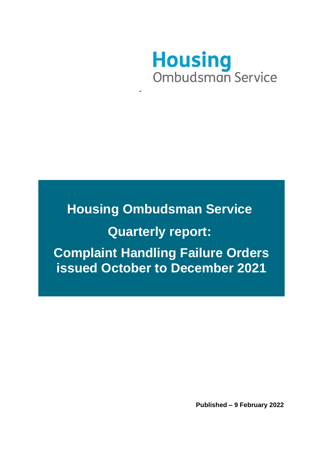

# **Housing Ombudsman Service Quarterly report: Complaint Handling Failure Orders issued October to December 2021**

**Published – 9 February 2022**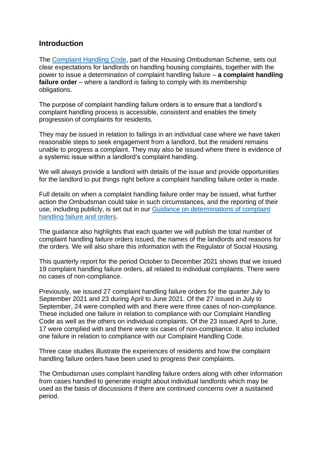### **Introduction**

The [Complaint Handling Code,](https://www.housing-ombudsman.org.uk/landlords-info/complaint-handling-code/) part of the Housing Ombudsman Scheme, sets out clear expectations for landlords on handling housing complaints, together with the power to issue a determination of complaint handling failure – **a complaint handling failure order** – where a landlord is failing to comply with its membership obligations.

The purpose of complaint handling failure orders is to ensure that a landlord's complaint handling process is accessible, consistent and enables the timely progression of complaints for residents.

They may be issued in relation to failings in an individual case where we have taken reasonable steps to seek engagement from a landlord, but the resident remains unable to progress a complaint. They may also be issued where there is evidence of a systemic issue within a landlord's complaint handling.

We will always provide a landlord with details of the issue and provide opportunities for the landlord to put things right before a complaint handling failure order is made.

Full details on when a complaint handling failure order may be issued, what further action the Ombudsman could take in such circumstances, and the reporting of their use, including publicly, is set out in our [Guidance on determinations of complaint](https://www.housing-ombudsman.org.uk/wp-content/uploads/2020/11/Guidance-on-complaint-handling-failure-orders.pdf)  [handling failure and orders.](https://www.housing-ombudsman.org.uk/wp-content/uploads/2020/11/Guidance-on-complaint-handling-failure-orders.pdf)

The guidance also highlights that each quarter we will publish the total number of complaint handling failure orders issued, the names of the landlords and reasons for the orders. We will also share this information with the Regulator of Social Housing.

This quarterly report for the period October to December 2021 shows that we issued 19 complaint handling failure orders, all related to individual complaints. There were no cases of non-compliance.

Previously, we issued 27 complaint handling failure orders for the quarter July to September 2021 and 23 during April to June 2021. Of the 27 issued in July to September, 24 were complied with and there were three cases of non-compliance. These included one failure in relation to compliance with our Complaint Handling Code as well as the others on individual complaints. Of the 23 issued April to June, 17 were complied with and there were six cases of non-compliance. It also included one failure in relation to compliance with our Complaint Handling Code.

Three case studies illustrate the experiences of residents and how the complaint handling failure orders have been used to progress their complaints.

The Ombudsman uses complaint handling failure orders along with other information from cases handled to generate insight about individual landlords which may be used as the basis of discussions if there are continued concerns over a sustained period.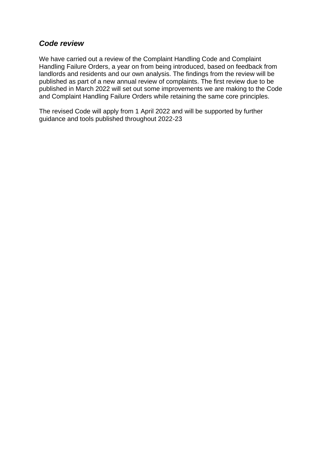### *Code review*

We have carried out a review of the Complaint Handling Code and Complaint Handling Failure Orders, a year on from being introduced, based on feedback from landlords and residents and our own analysis. The findings from the review will be published as part of a new annual review of complaints. The first review due to be published in March 2022 will set out some improvements we are making to the Code and Complaint Handling Failure Orders while retaining the same core principles.

The revised Code will apply from 1 April 2022 and will be supported by further guidance and tools published throughout 2022-23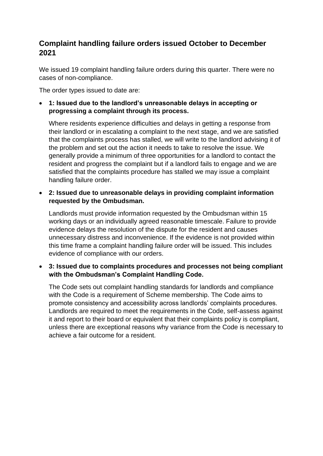## **Complaint handling failure orders issued October to December 2021**

We issued 19 complaint handling failure orders during this quarter. There were no cases of non-compliance.

The order types issued to date are:

• **1: Issued due to the landlord's unreasonable delays in accepting or progressing a complaint through its process.** 

Where residents experience difficulties and delays in getting a response from their landlord or in escalating a complaint to the next stage, and we are satisfied that the complaints process has stalled, we will write to the landlord advising it of the problem and set out the action it needs to take to resolve the issue. We generally provide a minimum of three opportunities for a landlord to contact the resident and progress the complaint but if a landlord fails to engage and we are satisfied that the complaints procedure has stalled we may issue a complaint handling failure order.

• **2: Issued due to unreasonable delays in providing complaint information requested by the Ombudsman.** 

Landlords must provide information requested by the Ombudsman within 15 working days or an individually agreed reasonable timescale. Failure to provide evidence delays the resolution of the dispute for the resident and causes unnecessary distress and inconvenience. If the evidence is not provided within this time frame a complaint handling failure order will be issued. This includes evidence of compliance with our orders.

#### • **3: Issued due to complaints procedures and processes not being compliant with the Ombudsman's Complaint Handling Code.**

The Code sets out complaint handling standards for landlords and compliance with the Code is a requirement of Scheme membership. The Code aims to promote consistency and accessibility across landlords' complaints procedures. Landlords are required to meet the requirements in the Code, self-assess against it and report to their board or equivalent that their complaints policy is compliant, unless there are exceptional reasons why variance from the Code is necessary to achieve a fair outcome for a resident.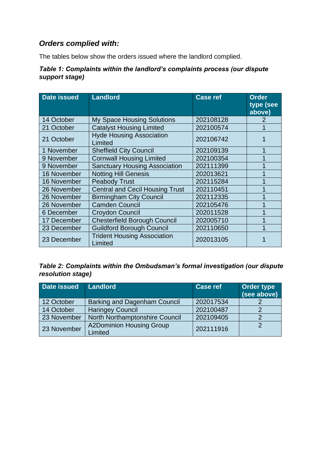## *Orders complied with:*

The tables below show the orders issued where the landlord complied.

#### *Table 1: Complaints within the landlord's complaints process (our dispute support stage)*

| <b>Date issued</b> | <b>Landlord</b>                               | <b>Case ref</b> | <b>Order</b><br>type (see<br>above) |
|--------------------|-----------------------------------------------|-----------------|-------------------------------------|
| 14 October         | <b>My Space Housing Solutions</b>             | 202108128       |                                     |
| 21 October         | <b>Catalyst Housing Limited</b>               | 202100574       |                                     |
| 21 October         | <b>Hyde Housing Association</b><br>Limited    | 202106742       |                                     |
| 1 November         | <b>Sheffield City Council</b>                 | 202109139       |                                     |
| 9 November         | <b>Cornwall Housing Limited</b>               | 202100354       |                                     |
| 9 November         | <b>Sanctuary Housing Association</b>          | 202111399       |                                     |
| 16 November        | <b>Notting Hill Genesis</b>                   | 202013621       |                                     |
| 16 November        | <b>Peabody Trust</b>                          | 202115284       |                                     |
| 26 November        | <b>Central and Cecil Housing Trust</b>        | 202110451       |                                     |
| 26 November        | <b>Birmingham City Council</b>                | 202112335       |                                     |
| 26 November        | <b>Camden Council</b>                         | 202105476       |                                     |
| 6 December         | Croydon Council                               | 202011528       |                                     |
| 17 December        | <b>Chesterfield Borough Council</b>           | 202005710       |                                     |
| 23 December        | <b>Guildford Borough Council</b>              | 202110650       |                                     |
| 23 December        | <b>Trident Housing Association</b><br>Limited | 202013105       |                                     |

*Table 2: Complaints within the Ombudsman's formal investigation (our dispute resolution stage)*

| Date issued | <b>Landlord</b>                            | <b>Case ref</b> | <b>Order type</b><br>(see above) |
|-------------|--------------------------------------------|-----------------|----------------------------------|
| 12 October  | <b>Barking and Dagenham Council</b>        | 202017534       |                                  |
| 14 October  | <b>Haringey Council</b>                    | 202100487       |                                  |
| 23 November | North Northamptonshire Council             | 202109405       |                                  |
| 23 November | <b>A2Dominion Housing Group</b><br>Limited | 202111916       |                                  |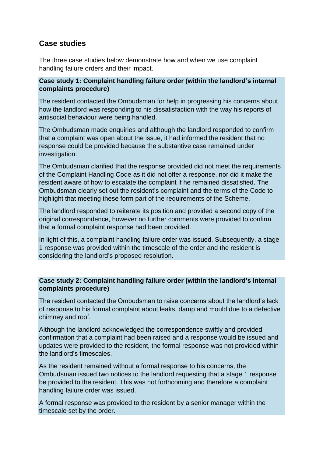## **Case studies**

The three case studies below demonstrate how and when we use complaint handling failure orders and their impact.

#### **Case study 1: Complaint handling failure order (within the landlord's internal complaints procedure)**

The resident contacted the Ombudsman for help in progressing his concerns about how the landlord was responding to his dissatisfaction with the way his reports of antisocial behaviour were being handled.

The Ombudsman made enquiries and although the landlord responded to confirm that a complaint was open about the issue, it had informed the resident that no response could be provided because the substantive case remained under investigation.

The Ombudsman clarified that the response provided did not meet the requirements of the Complaint Handling Code as it did not offer a response, nor did it make the resident aware of how to escalate the complaint if he remained dissatisfied. The Ombudsman clearly set out the resident's complaint and the terms of the Code to highlight that meeting these form part of the requirements of the Scheme.

The landlord responded to reiterate its position and provided a second copy of the original correspondence, however no further comments were provided to confirm that a formal complaint response had been provided.

In light of this, a complaint handling failure order was issued. Subsequently, a stage 1 response was provided within the timescale of the order and the resident is considering the landlord's proposed resolution.

#### **Case study 2: Complaint handling failure order (within the landlord's internal complaints procedure)**

The resident contacted the Ombudsman to raise concerns about the landlord's lack of response to his formal complaint about leaks, damp and mould due to a defective chimney and roof.

Although the landlord acknowledged the correspondence swiftly and provided confirmation that a complaint had been raised and a response would be issued and updates were provided to the resident, the formal response was not provided within the landlord's timescales.

As the resident remained without a formal response to his concerns, the Ombudsman issued two notices to the landlord requesting that a stage 1 response be provided to the resident. This was not forthcoming and therefore a complaint handling failure order was issued.

A formal response was provided to the resident by a senior manager within the timescale set by the order.